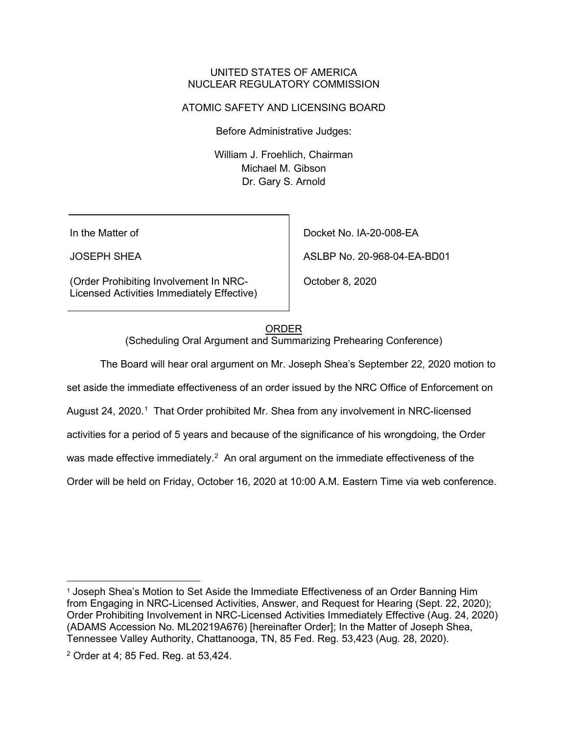### UNITED STATES OF AMERICA NUCLEAR REGULATORY COMMISSION

## ATOMIC SAFETY AND LICENSING BOARD

Before Administrative Judges:

William J. Froehlich, Chairman Michael M. Gibson Dr. Gary S. Arnold

In the Matter of

JOSEPH SHEA

(Order Prohibiting Involvement In NRC-Licensed Activities Immediately Effective) Docket No. IA-20-008-EA

ASLBP No. 20-968-04-EA-BD01

October 8, 2020

## ORDER

(Scheduling Oral Argument and Summarizing Prehearing Conference)

The Board will hear oral argument on Mr. Joseph Shea's September 22, 2020 motion to

set aside the immediate effectiveness of an order issued by the NRC Office of Enforcement on

August 24, 2020.<sup>1</sup> That Order prohibited Mr. Shea from any involvement in NRC-licensed

activities for a period of 5 years and because of the significance of his wrongdoing, the Order

was made effective immediately. $^2\,$  An oral argument on the immediate effectiveness of the

Order will be held on Friday, October 16, 2020 at 10:00 A.M. Eastern Time via web conference.

<sup>&</sup>lt;sup>1</sup> Joseph Shea's Motion to Set Aside the Immediate Effectiveness of an Order Banning Him from Engaging in NRC-Licensed Activities, Answer, and Request for Hearing (Sept. 22, 2020); Order Prohibiting Involvement in NRC-Licensed Activities Immediately Effective (Aug. 24, 2020) (ADAMS Accession No. ML20219A676) [hereinafter Order]; In the Matter of Joseph Shea, Tennessee Valley Authority, Chattanooga, TN, 85 Fed. Reg. 53,423 (Aug. 28, 2020).

<sup>2</sup> Order at 4; 85 Fed. Reg. at 53,424.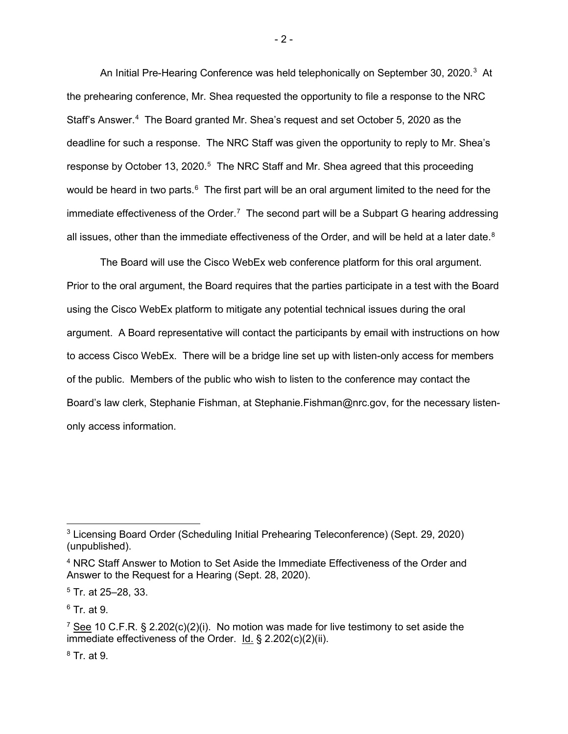An Initial Pre-Hearing Conference was held telephonically on September 30, 2020. $^3\,$  At the prehearing conference, Mr. Shea requested the opportunity to file a response to the NRC Staff's Answer.<sup>4</sup> The Board granted Mr. Shea's request and set October 5, 2020 as the deadline for such a response. The NRC Staff was given the opportunity to reply to Mr. Shea's response by October 13, 2020. $5$  The NRC Staff and Mr. Shea agreed that this proceeding would be heard in two parts. $^6\,$  The first part will be an oral argument limited to the need for the immediate effectiveness of the Order.<sup>7</sup> The second part will be a Subpart G hearing addressing all issues, other than the immediate effectiveness of the Order, and will be held at a later date.<sup>8</sup>

The Board will use the Cisco WebEx web conference platform for this oral argument. Prior to the oral argument, the Board requires that the parties participate in a test with the Board using the Cisco WebEx platform to mitigate any potential technical issues during the oral argument. A Board representative will contact the participants by email with instructions on how to access Cisco WebEx. There will be a bridge line set up with listen-only access for members of the public. Members of the public who wish to listen to the conference may contact the Board's law clerk, Stephanie Fishman, at Stephanie.Fishman@nrc.gov, for the necessary listenonly access information.

<sup>5</sup> Tr. at 25–28, 33.

 $6$  Tr. at 9.

 $8$  Tr. at 9.

<sup>3</sup> Licensing Board Order (Scheduling Initial Prehearing Teleconference) (Sept. 29, 2020) (unpublished).

<sup>4</sup> NRC Staff Answer to Motion to Set Aside the Immediate Effectiveness of the Order and Answer to the Request for a Hearing (Sept. 28, 2020).

 $7$  See 10 C.F.R. § 2.202(c)(2)(i). No motion was made for live testimony to set aside the immediate effectiveness of the Order. Id. § 2.202(c)(2)(ii).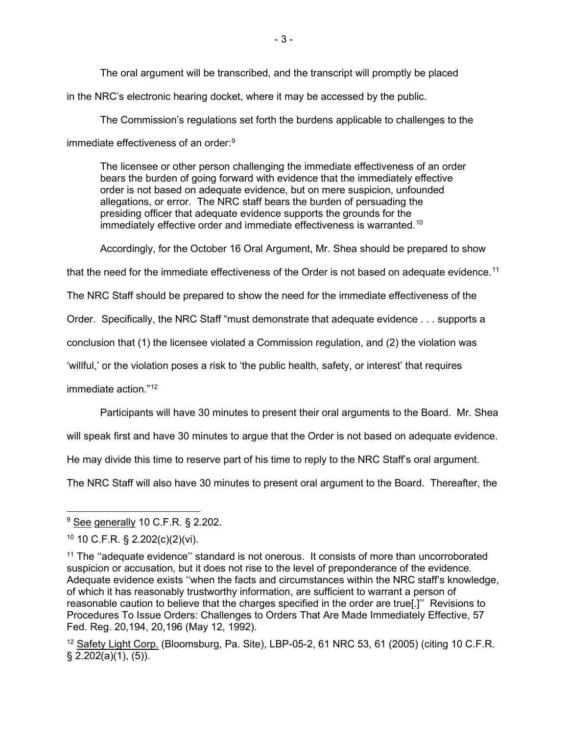The oral argument will be transcribed, and the transcript will promptly be placed in the NRC's electronic hearing docket, where it may be accessed by the public.

The Commission's regulations set forth the burdens applicable to challenges to the immediate effectiveness of an order: 9

The licensee or other person challenging the immediate effectiveness of an order bears the burden of going forward with evidence that the immediately effective order is not based on adequate evidence, but on mere suspicion, unfounded allegations, or error. The NRC staff bears the burden of persuading the presiding officer that adequate evidence supports the grounds for the immediately effective order and immediate effectiveness is warranted.<sup>10</sup>

Accordingly, for the October 16 Oral Argument, Mr. Shea should be prepared to show

that the need for the immediate effectiveness of the Order is not based on adequate evidence.<sup>11</sup>

The NRC Staff should be prepared to show the need for the immediate effectiveness of the

Order. Specifically, the NRC Staff "must demonstrate that adequate evidence . . . supports a

conclusion that (1) the licensee violated a Commission regulation, and (2) the violation was

'willful,' or the violation poses a risk to 'the public health, safety, or interest' that requires

immediate action  $"12"$ 

Participants will have 30 minutes to present their oral arguments to the Board. Mr. Shea

will speak first and have 30 minutes to argue that the Order is not based on adequate evidence.

He may divide this time to reserve part of his time to reply to the NRC Staff's oral argument.

The NRC Staff will also have 30 minutes to present oral argument to the Board. Thereafter, the

<sup>&</sup>lt;sup>9</sup> See generally 10 C.F.R. § 2.202.

<sup>10</sup> 10 C.F.R. § 2.202(c)(2)(vi).

 $11$  The "adequate evidence" standard is not onerous. It consists of more than uncorroborated suspicion or accusation, but it does not rise to the level of preponderance of the evidence. Adequate evidence exists ''when the facts and circumstances within the NRC staff's knowledge, of which it has reasonably trustworthy information, are sufficient to warrant a person of reasonable caution to believe that the charges specified in the order are true[.]'' Revisions to Procedures To Issue Orders: Challenges to Orders That Are Made Immediately Effective, 57 Fed. Reg. 20,194, 20,196 (May 12, 1992).

 $12$  Safety Light Corp. (Bloomsburg, Pa. Site), LBP-05-2, 61 NRC 53, 61 (2005) (citing 10 C.F.R. § 2.202(a)(1), (5)).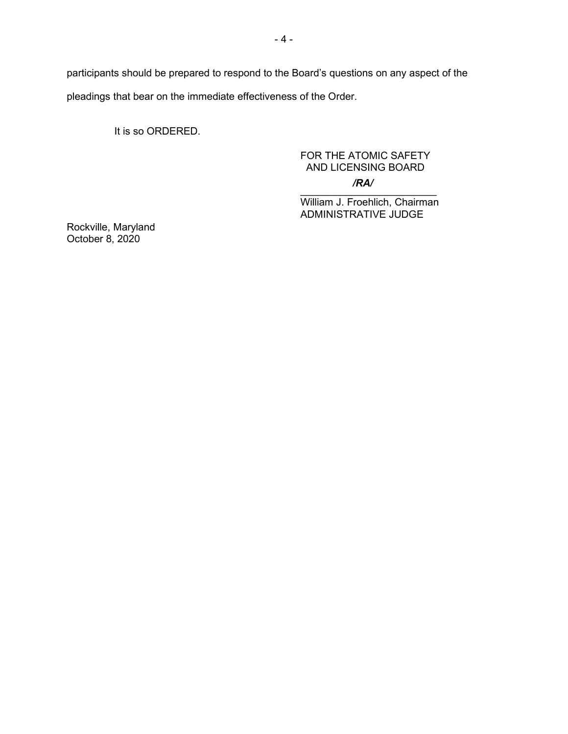participants should be prepared to respond to the Board's questions on any aspect of the pleadings that bear on the immediate effectiveness of the Order.

It is so ORDERED.

# FOR THE ATOMIC SAFETY AND LICENSING BOARD */RA/*

 $\frac{1}{2}$  ,  $\frac{1}{2}$  ,  $\frac{1}{2}$  ,  $\frac{1}{2}$  ,  $\frac{1}{2}$  ,  $\frac{1}{2}$  ,  $\frac{1}{2}$  ,  $\frac{1}{2}$  ,  $\frac{1}{2}$  ,  $\frac{1}{2}$ William J. Froehlich, Chairman ADMINISTRATIVE JUDGE

Rockville, Maryland October 8, 2020